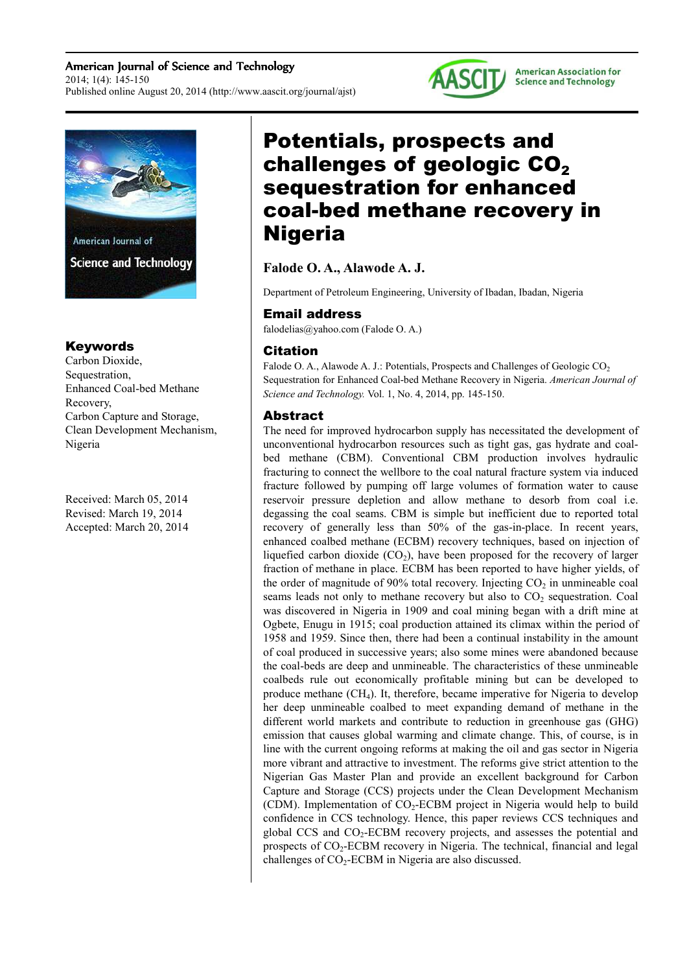American Journal of Science and Technology 2014; 1(4): 145-150 Published online August 20, 2014 (http://www.aascit.org/journal/ajst)



#### **American Association for Science and Technology**



## Keywords

Carbon Dioxide, Sequestration, Enhanced Coal-bed Methane Recovery, Carbon Capture and Storage, Clean Development Mechanism, Nigeria

Received: March 05, 2014 Revised: March 19, 2014 Accepted: March 20, 2014

# Potentials, prospects and challenges of geologic  $CO<sub>2</sub>$ sequestration for enhanced coal-bed methane recovery in Nigeria

**Falode O. A., Alawode A. J.**

Department of Petroleum Engineering, University of Ibadan, Ibadan, Nigeria

## Email address

falodelias@yahoo.com (Falode O. A.)

## Citation

Falode O. A., Alawode A. J.: Potentials, Prospects and Challenges of Geologic  $CO<sub>2</sub>$ Sequestration for Enhanced Coal-bed Methane Recovery in Nigeria. *American Journal of Science and Technology.* Vol. 1, No. 4, 2014, pp. 145-150.

## Abstract

The need for improved hydrocarbon supply has necessitated the development of unconventional hydrocarbon resources such as tight gas, gas hydrate and coalbed methane (CBM). Conventional CBM production involves hydraulic fracturing to connect the wellbore to the coal natural fracture system via induced fracture followed by pumping off large volumes of formation water to cause reservoir pressure depletion and allow methane to desorb from coal i.e. degassing the coal seams. CBM is simple but inefficient due to reported total recovery of generally less than 50% of the gas-in-place. In recent years, enhanced coalbed methane (ECBM) recovery techniques, based on injection of liquefied carbon dioxide  $(CO_2)$ , have been proposed for the recovery of larger fraction of methane in place. ECBM has been reported to have higher yields, of the order of magnitude of 90% total recovery. Injecting  $CO<sub>2</sub>$  in unmineable coal seams leads not only to methane recovery but also to  $CO<sub>2</sub>$  sequestration. Coal was discovered in Nigeria in 1909 and coal mining began with a drift mine at Ogbete, Enugu in 1915; coal production attained its climax within the period of 1958 and 1959. Since then, there had been a continual instability in the amount of coal produced in successive years; also some mines were abandoned because the coal-beds are deep and unmineable. The characteristics of these unmineable coalbeds rule out economically profitable mining but can be developed to produce methane (CH4). It, therefore, became imperative for Nigeria to develop her deep unmineable coalbed to meet expanding demand of methane in the different world markets and contribute to reduction in greenhouse gas (GHG) emission that causes global warming and climate change. This, of course, is in line with the current ongoing reforms at making the oil and gas sector in Nigeria more vibrant and attractive to investment. The reforms give strict attention to the Nigerian Gas Master Plan and provide an excellent background for Carbon Capture and Storage (CCS) projects under the Clean Development Mechanism (CDM). Implementation of  $CO<sub>2</sub>$ -ECBM project in Nigeria would help to build confidence in CCS technology. Hence, this paper reviews CCS techniques and global CCS and  $CO<sub>2</sub>$ -ECBM recovery projects, and assesses the potential and prospects of CO<sub>2</sub>-ECBM recovery in Nigeria. The technical, financial and legal challenges of CO<sub>2</sub>-ECBM in Nigeria are also discussed.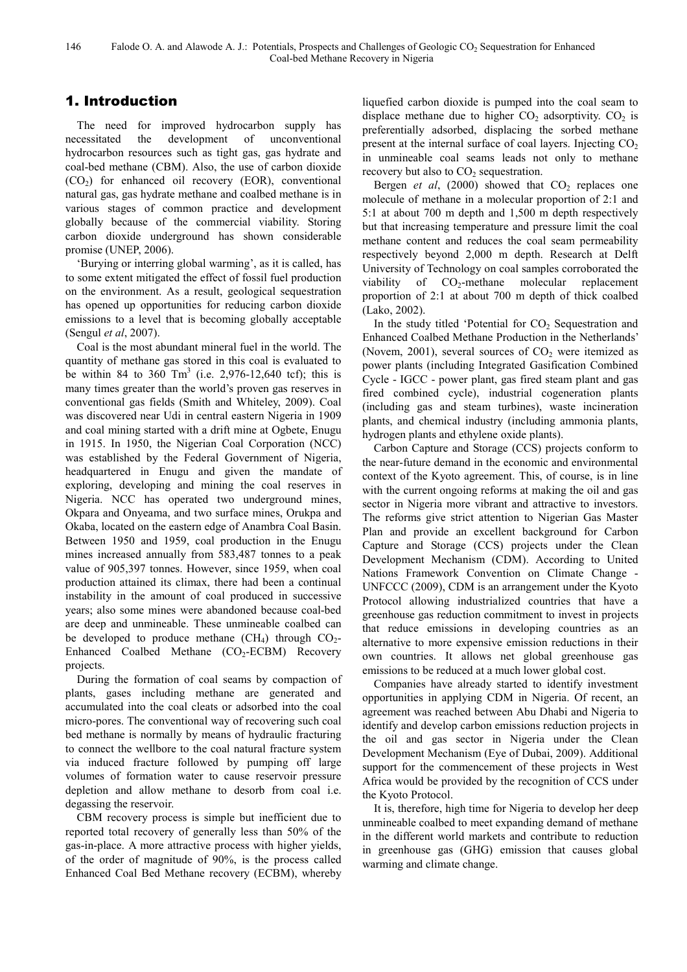# 1. Introduction

The need for improved hydrocarbon supply has necessitated the development of unconventional hydrocarbon resources such as tight gas, gas hydrate and coal-bed methane (CBM). Also, the use of carbon dioxide  $(CO<sub>2</sub>)$  for enhanced oil recovery (EOR), conventional natural gas, gas hydrate methane and coalbed methane is in various stages of common practice and development globally because of the commercial viability. Storing carbon dioxide underground has shown considerable promise (UNEP, 2006).

'Burying or interring global warming', as it is called, has to some extent mitigated the effect of fossil fuel production on the environment. As a result, geological sequestration has opened up opportunities for reducing carbon dioxide emissions to a level that is becoming globally acceptable (Sengul *et al*, 2007).

Coal is the most abundant mineral fuel in the world. The quantity of methane gas stored in this coal is evaluated to be within 84 to 360  $\text{Tm}^3$  (i.e. 2,976-12,640 tcf); this is many times greater than the world's proven gas reserves in conventional gas fields (Smith and Whiteley, 2009). Coal was discovered near Udi in central eastern Nigeria in 1909 and coal mining started with a drift mine at Ogbete, Enugu in 1915. In 1950, the Nigerian Coal Corporation (NCC) was established by the Federal Government of Nigeria, headquartered in Enugu and given the mandate of exploring, developing and mining the coal reserves in Nigeria. NCC has operated two underground mines, Okpara and Onyeama, and two surface mines, Orukpa and Okaba, located on the eastern edge of Anambra Coal Basin. Between 1950 and 1959, coal production in the Enugu mines increased annually from 583,487 tonnes to a peak value of 905,397 tonnes. However, since 1959, when coal production attained its climax, there had been a continual instability in the amount of coal produced in successive years; also some mines were abandoned because coal-bed are deep and unmineable. These unmineable coalbed can be developed to produce methane  $(CH_4)$  through  $CO_2$ -Enhanced Coalbed Methane  $(CO<sub>2</sub>-ECBM)$  Recovery projects.

During the formation of coal seams by compaction of plants, gases including methane are generated and accumulated into the coal cleats or adsorbed into the coal micro-pores. The conventional way of recovering such coal bed methane is normally by means of hydraulic fracturing to connect the wellbore to the coal natural fracture system via induced fracture followed by pumping off large volumes of formation water to cause reservoir pressure depletion and allow methane to desorb from coal i.e. degassing the reservoir.

CBM recovery process is simple but inefficient due to reported total recovery of generally less than 50% of the gas-in-place. A more attractive process with higher yields, of the order of magnitude of 90%, is the process called Enhanced Coal Bed Methane recovery (ECBM), whereby liquefied carbon dioxide is pumped into the coal seam to displace methane due to higher  $CO<sub>2</sub>$  adsorptivity.  $CO<sub>2</sub>$  is preferentially adsorbed, displacing the sorbed methane present at the internal surface of coal layers. Injecting  $CO<sub>2</sub>$ in unmineable coal seams leads not only to methane recovery but also to  $CO<sub>2</sub>$  sequestration.

Bergen *et al.* (2000) showed that  $CO<sub>2</sub>$  replaces one molecule of methane in a molecular proportion of 2:1 and 5:1 at about 700 m depth and 1,500 m depth respectively but that increasing temperature and pressure limit the coal methane content and reduces the coal seam permeability respectively beyond 2,000 m depth. Research at Delft University of Technology on coal samples corroborated the viability of  $CO<sub>2</sub>$ -methane molecular replacement proportion of 2:1 at about 700 m depth of thick coalbed (Lako, 2002).

In the study titled 'Potential for  $CO<sub>2</sub>$  Sequestration and Enhanced Coalbed Methane Production in the Netherlands' (Novem, 2001), several sources of  $CO<sub>2</sub>$  were itemized as power plants (including Integrated Gasification Combined Cycle - IGCC - power plant, gas fired steam plant and gas fired combined cycle), industrial cogeneration plants (including gas and steam turbines), waste incineration plants, and chemical industry (including ammonia plants, hydrogen plants and ethylene oxide plants).

Carbon Capture and Storage (CCS) projects conform to the near-future demand in the economic and environmental context of the Kyoto agreement. This, of course, is in line with the current ongoing reforms at making the oil and gas sector in Nigeria more vibrant and attractive to investors. The reforms give strict attention to Nigerian Gas Master Plan and provide an excellent background for Carbon Capture and Storage (CCS) projects under the Clean Development Mechanism (CDM). According to United Nations Framework Convention on Climate Change - UNFCCC (2009), CDM is an arrangement under the Kyoto Protocol allowing industrialized countries that have a greenhouse gas reduction commitment to invest in projects that reduce emissions in developing countries as an alternative to more expensive emission reductions in their own countries. It allows net global greenhouse gas emissions to be reduced at a much lower global cost.

Companies have already started to identify investment opportunities in applying CDM in Nigeria. Of recent, an agreement was reached between Abu Dhabi and Nigeria to identify and develop carbon emissions reduction projects in the oil and gas sector in Nigeria under the Clean Development Mechanism (Eye of Dubai, 2009). Additional support for the commencement of these projects in West Africa would be provided by the recognition of CCS under the Kyoto Protocol.

It is, therefore, high time for Nigeria to develop her deep unmineable coalbed to meet expanding demand of methane in the different world markets and contribute to reduction in greenhouse gas (GHG) emission that causes global warming and climate change.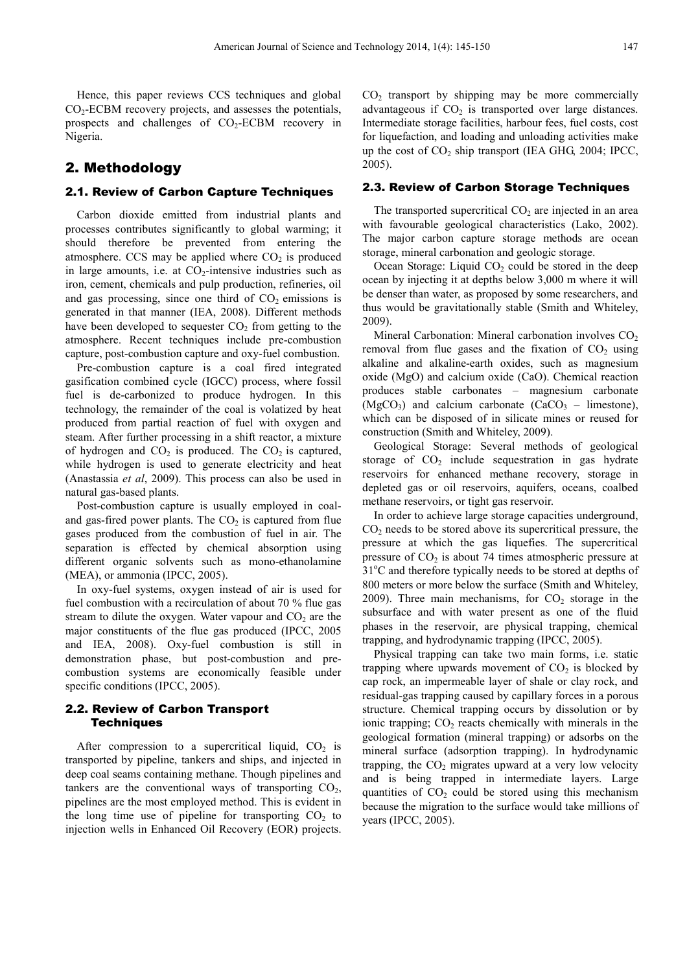Hence, this paper reviews CCS techniques and global CO2-ECBM recovery projects, and assesses the potentials, prospects and challenges of  $CO<sub>2</sub>-ECBM$  recovery in Nigeria.

## 2. Methodology

#### 2.1. Review of Carbon Capture Techniques

Carbon dioxide emitted from industrial plants and processes contributes significantly to global warming; it should therefore be prevented from entering the atmosphere. CCS may be applied where  $CO<sub>2</sub>$  is produced in large amounts, i.e. at  $CO<sub>2</sub>$ -intensive industries such as iron, cement, chemicals and pulp production, refineries, oil and gas processing, since one third of  $CO<sub>2</sub>$  emissions is generated in that manner (IEA, 2008). Different methods have been developed to sequester  $CO<sub>2</sub>$  from getting to the atmosphere. Recent techniques include pre-combustion capture, post-combustion capture and oxy-fuel combustion.

Pre-combustion capture is a coal fired integrated gasification combined cycle (IGCC) process, where fossil fuel is de-carbonized to produce hydrogen. In this technology, the remainder of the coal is volatized by heat produced from partial reaction of fuel with oxygen and steam. After further processing in a shift reactor, a mixture of hydrogen and  $CO<sub>2</sub>$  is produced. The  $CO<sub>2</sub>$  is captured, while hydrogen is used to generate electricity and heat (Anastassia *et al*, 2009). This process can also be used in natural gas-based plants.

Post-combustion capture is usually employed in coaland gas-fired power plants. The  $CO<sub>2</sub>$  is captured from flue gases produced from the combustion of fuel in air. The separation is effected by chemical absorption using different organic solvents such as mono-ethanolamine (MEA), or ammonia (IPCC, 2005).

In oxy-fuel systems, oxygen instead of air is used for fuel combustion with a recirculation of about 70 % flue gas stream to dilute the oxygen. Water vapour and  $CO<sub>2</sub>$  are the major constituents of the flue gas produced (IPCC, 2005 and IEA, 2008). Oxy-fuel combustion is still in demonstration phase, but post-combustion and precombustion systems are economically feasible under specific conditions (IPCC, 2005).

#### 2.2. Review of Carbon Transport **Techniques**

After compression to a supercritical liquid,  $CO<sub>2</sub>$  is transported by pipeline, tankers and ships, and injected in deep coal seams containing methane. Though pipelines and tankers are the conventional ways of transporting  $CO<sub>2</sub>$ , pipelines are the most employed method. This is evident in the long time use of pipeline for transporting  $CO<sub>2</sub>$  to injection wells in Enhanced Oil Recovery (EOR) projects.  $CO<sub>2</sub>$  transport by shipping may be more commercially advantageous if  $CO<sub>2</sub>$  is transported over large distances. Intermediate storage facilities, harbour fees, fuel costs, cost for liquefaction, and loading and unloading activities make up the cost of  $CO<sub>2</sub>$  ship transport (IEA GHG, 2004; IPCC, 2005).

#### 2.3. Review of Carbon Storage Techniques

The transported supercritical  $CO<sub>2</sub>$  are injected in an area with favourable geological characteristics (Lako, 2002). The major carbon capture storage methods are ocean storage, mineral carbonation and geologic storage.

Ocean Storage: Liquid  $CO<sub>2</sub>$  could be stored in the deep ocean by injecting it at depths below 3,000 m where it will be denser than water, as proposed by some researchers, and thus would be gravitationally stable (Smith and Whiteley, 2009).

Mineral Carbonation: Mineral carbonation involves  $CO<sub>2</sub>$ removal from flue gases and the fixation of  $CO<sub>2</sub>$  using alkaline and alkaline-earth oxides, such as magnesium oxide (MgO) and calcium oxide (CaO). Chemical reaction produces stable carbonates – magnesium carbonate  $(MgCO<sub>3</sub>)$  and calcium carbonate  $(CaCO<sub>3</sub> - l$  imestone), which can be disposed of in silicate mines or reused for construction (Smith and Whiteley, 2009).

Geological Storage: Several methods of geological storage of  $CO<sub>2</sub>$  include sequestration in gas hydrate reservoirs for enhanced methane recovery, storage in depleted gas or oil reservoirs, aquifers, oceans, coalbed methane reservoirs, or tight gas reservoir.

In order to achieve large storage capacities underground,  $CO<sub>2</sub>$  needs to be stored above its supercritical pressure, the pressure at which the gas liquefies. The supercritical pressure of  $CO<sub>2</sub>$  is about 74 times atmospheric pressure at  $31^{\circ}$ C and therefore typically needs to be stored at depths of 800 meters or more below the surface (Smith and Whiteley, 2009). Three main mechanisms, for  $CO<sub>2</sub>$  storage in the subsurface and with water present as one of the fluid phases in the reservoir, are physical trapping, chemical trapping, and hydrodynamic trapping (IPCC, 2005).

Physical trapping can take two main forms, i.e. static trapping where upwards movement of  $CO<sub>2</sub>$  is blocked by cap rock, an impermeable layer of shale or clay rock, and residual-gas trapping caused by capillary forces in a porous structure. Chemical trapping occurs by dissolution or by ionic trapping;  $CO<sub>2</sub>$  reacts chemically with minerals in the geological formation (mineral trapping) or adsorbs on the mineral surface (adsorption trapping). In hydrodynamic trapping, the  $CO<sub>2</sub>$  migrates upward at a very low velocity and is being trapped in intermediate layers. Large quantities of  $CO<sub>2</sub>$  could be stored using this mechanism because the migration to the surface would take millions of years (IPCC, 2005).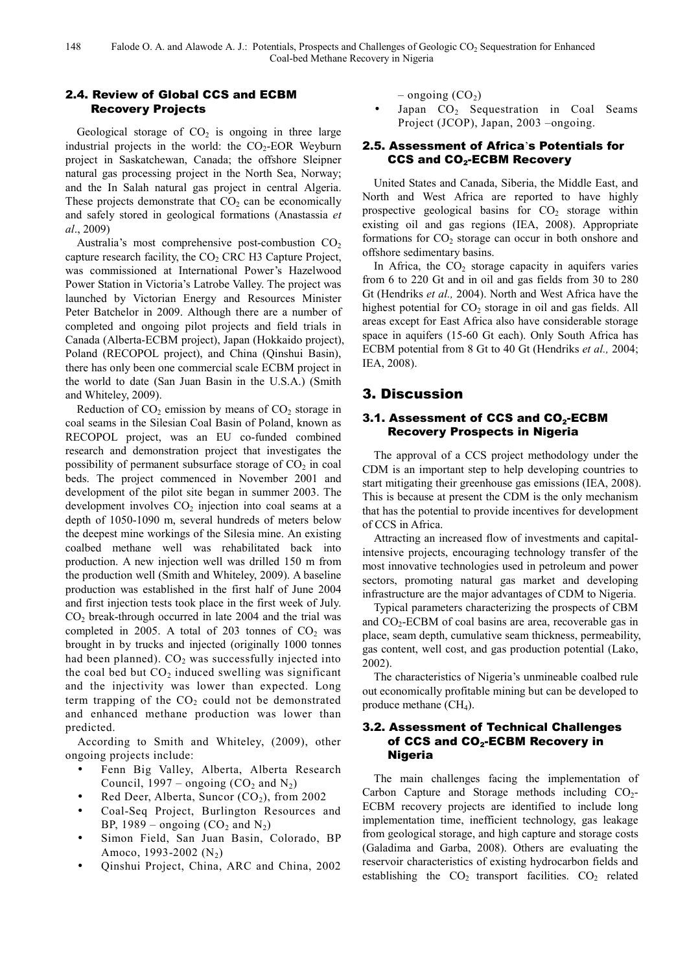## 2.4. Review of Global CCS and ECBM Recovery Projects

Geological storage of  $CO<sub>2</sub>$  is ongoing in three large industrial projects in the world: the  $CO<sub>2</sub>-EOR$  Weyburn project in Saskatchewan, Canada; the offshore Sleipner natural gas processing project in the North Sea, Norway; and the In Salah natural gas project in central Algeria. These projects demonstrate that  $CO<sub>2</sub>$  can be economically and safely stored in geological formations (Anastassia *et al*., 2009)

Australia's most comprehensive post-combustion  $CO<sub>2</sub>$ capture research facility, the  $CO<sub>2</sub>$  CRC H3 Capture Project, was commissioned at International Power's Hazelwood Power Station in Victoria's Latrobe Valley. The project was launched by Victorian Energy and Resources Minister Peter Batchelor in 2009. Although there are a number of completed and ongoing pilot projects and field trials in Canada (Alberta-ECBM project), Japan (Hokkaido project), Poland (RECOPOL project), and China (Qinshui Basin), there has only been one commercial scale ECBM project in the world to date (San Juan Basin in the U.S.A.) (Smith and Whiteley, 2009).

Reduction of  $CO<sub>2</sub>$  emission by means of  $CO<sub>2</sub>$  storage in coal seams in the Silesian Coal Basin of Poland, known as RECOPOL project, was an EU co-funded combined research and demonstration project that investigates the possibility of permanent subsurface storage of  $CO<sub>2</sub>$  in coal beds. The project commenced in November 2001 and development of the pilot site began in summer 2003. The development involves  $CO<sub>2</sub>$  injection into coal seams at a depth of 1050-1090 m, several hundreds of meters below the deepest mine workings of the Silesia mine. An existing coalbed methane well was rehabilitated back into production. A new injection well was drilled 150 m from the production well (Smith and Whiteley, 2009). A baseline production was established in the first half of June 2004 and first injection tests took place in the first week of July.  $CO<sub>2</sub>$  break-through occurred in late 2004 and the trial was completed in 2005. A total of 203 tonnes of  $CO<sub>2</sub>$  was brought in by trucks and injected (originally 1000 tonnes had been planned).  $CO<sub>2</sub>$  was successfully injected into the coal bed but  $CO<sub>2</sub>$  induced swelling was significant and the injectivity was lower than expected. Long term trapping of the  $CO<sub>2</sub>$  could not be demonstrated and enhanced methane production was lower than predicted.

According to Smith and Whiteley, (2009), other ongoing projects include:

- Fenn Big Valley, Alberta, Alberta Research Council, 1997 – ongoing  $(CO_2$  and N<sub>2</sub>)
- Red Deer, Alberta, Suncor  $(CO<sub>2</sub>)$ , from 2002
- Coal-Seq Project, Burlington Resources and BP, 1989 – ongoing  $(CO_2$  and  $N_2$ )
- Simon Field, San Juan Basin, Colorado, BP Amoco, 1993-2002  $(N_2)$
- Qinshui Project, China, ARC and China, 2002

– ongoing  $(CO<sub>2</sub>)$ 

Japan  $CO<sub>2</sub>$  Sequestration in Coal Seams Project (JCOP), Japan, 2003 –ongoing.

## 2.5. Assessment of Africa's Potentials for CCS and CO<sub>2</sub>-ECBM Recovery

United States and Canada, Siberia, the Middle East, and North and West Africa are reported to have highly prospective geological basins for  $CO<sub>2</sub>$  storage within existing oil and gas regions (IEA, 2008). Appropriate formations for  $CO<sub>2</sub>$  storage can occur in both onshore and offshore sedimentary basins.

In Africa, the  $CO<sub>2</sub>$  storage capacity in aquifers varies from 6 to 220 Gt and in oil and gas fields from 30 to 280 Gt (Hendriks *et al.,* 2004). North and West Africa have the highest potential for  $CO<sub>2</sub>$  storage in oil and gas fields. All areas except for East Africa also have considerable storage space in aquifers (15-60 Gt each). Only South Africa has ECBM potential from 8 Gt to 40 Gt (Hendriks *et al.,* 2004; IEA, 2008).

# 3. Discussion

## 3.1. Assessment of CCS and  $\mathsf{CO}_2\text{-}\mathsf{ECBM}$ Recovery Prospects in Nigeria

The approval of a CCS project methodology under the CDM is an important step to help developing countries to start mitigating their greenhouse gas emissions (IEA, 2008). This is because at present the CDM is the only mechanism that has the potential to provide incentives for development of CCS in Africa.

Attracting an increased flow of investments and capitalintensive projects, encouraging technology transfer of the most innovative technologies used in petroleum and power sectors, promoting natural gas market and developing infrastructure are the major advantages of CDM to Nigeria.

Typical parameters characterizing the prospects of CBM and  $CO<sub>2</sub>$ -ECBM of coal basins are area, recoverable gas in place, seam depth, cumulative seam thickness, permeability, gas content, well cost, and gas production potential (Lako, 2002).

The characteristics of Nigeria's unmineable coalbed rule out economically profitable mining but can be developed to produce methane  $(CH<sub>4</sub>)$ .

## 3.2. Assessment of Technical Challenges of CCS and CO<sub>2</sub>-ECBM Recovery in Nigeria

The main challenges facing the implementation of Carbon Capture and Storage methods including  $CO<sub>2</sub>$ -ECBM recovery projects are identified to include long implementation time, inefficient technology, gas leakage from geological storage, and high capture and storage costs (Galadima and Garba, 2008). Others are evaluating the reservoir characteristics of existing hydrocarbon fields and establishing the  $CO<sub>2</sub>$  transport facilities.  $CO<sub>2</sub>$  related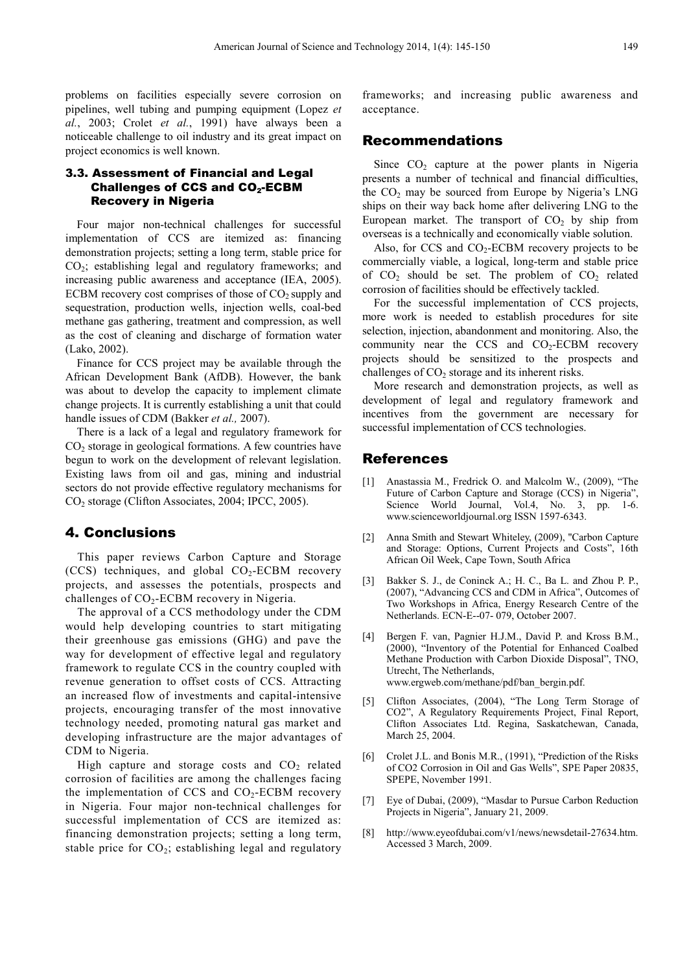problems on facilities especially severe corrosion on pipelines, well tubing and pumping equipment (Lopez *et al.*, 2003; Crolet *et al.*, 1991) have always been a noticeable challenge to oil industry and its great impact on project economics is well known.

## 3.3. Assessment of Financial and Legal Challenges of CCS and  $\mathsf{CO}_2\text{-}\mathsf{ECBM}$ Recovery in Nigeria

Four major non-technical challenges for successful implementation of CCS are itemized as: financing demonstration projects; setting a long term, stable price for CO2; establishing legal and regulatory frameworks; and increasing public awareness and acceptance (IEA, 2005). ECBM recovery cost comprises of those of  $CO<sub>2</sub>$  supply and sequestration, production wells, injection wells, coal-bed methane gas gathering, treatment and compression, as well as the cost of cleaning and discharge of formation water (Lako, 2002).

Finance for CCS project may be available through the African Development Bank (AfDB). However, the bank was about to develop the capacity to implement climate change projects. It is currently establishing a unit that could handle issues of CDM (Bakker *et al.,* 2007).

There is a lack of a legal and regulatory framework for CO2 storage in geological formations. A few countries have begun to work on the development of relevant legislation. Existing laws from oil and gas, mining and industrial sectors do not provide effective regulatory mechanisms for CO<sub>2</sub> storage (Clifton Associates, 2004; IPCC, 2005).

## 4. Conclusions

This paper reviews Carbon Capture and Storage  $(CCS)$  techniques, and global  $CO<sub>2</sub>$ -ECBM recovery projects, and assesses the potentials, prospects and challenges of  $CO<sub>2</sub>$ -ECBM recovery in Nigeria.

The approval of a CCS methodology under the CDM would help developing countries to start mitigating their greenhouse gas emissions (GHG) and pave the way for development of effective legal and regulatory framework to regulate CCS in the country coupled with revenue generation to offset costs of CCS. Attracting an increased flow of investments and capital-intensive projects, encouraging transfer of the most innovative technology needed, promoting natural gas market and developing infrastructure are the major advantages of CDM to Nigeria.

High capture and storage costs and  $CO<sub>2</sub>$  related corrosion of facilities are among the challenges facing the implementation of CCS and  $CO<sub>2</sub>$ -ECBM recovery in Nigeria. Four major non-technical challenges for successful implementation of CCS are itemized as: financing demonstration projects; setting a long term, stable price for  $CO<sub>2</sub>$ ; establishing legal and regulatory

frameworks; and increasing public awareness and acceptance.

## Recommendations

Since  $CO<sub>2</sub>$  capture at the power plants in Nigeria presents a number of technical and financial difficulties, the CO<sub>2</sub> may be sourced from Europe by Nigeria's LNG ships on their way back home after delivering LNG to the European market. The transport of  $CO<sub>2</sub>$  by ship from overseas is a technically and economically viable solution.

Also, for CCS and  $CO<sub>2</sub>$ -ECBM recovery projects to be commercially viable, a logical, long-term and stable price of  $CO<sub>2</sub>$  should be set. The problem of  $CO<sub>2</sub>$  related corrosion of facilities should be effectively tackled.

For the successful implementation of CCS projects, more work is needed to establish procedures for site selection, injection, abandonment and monitoring. Also, the community near the CCS and  $CO<sub>2</sub>-ECBM$  recovery projects should be sensitized to the prospects and challenges of  $CO<sub>2</sub>$  storage and its inherent risks.

More research and demonstration projects, as well as development of legal and regulatory framework and incentives from the government are necessary for successful implementation of CCS technologies.

## References

- [1] Anastassia M., Fredrick O. and Malcolm W., (2009), "The Future of Carbon Capture and Storage (CCS) in Nigeria", Science World Journal, Vol.4, No. 3, pp. 1-6. www.scienceworldjournal.org ISSN 1597-6343.
- [2] Anna Smith and Stewart Whiteley, (2009), "Carbon Capture and Storage: Options, Current Projects and Costs", 16th African Oil Week, Cape Town, South Africa
- [3] Bakker S. J., de Coninck A.; H. C., Ba L. and Zhou P. P., (2007), "Advancing CCS and CDM in Africa", Outcomes of Two Workshops in Africa, Energy Research Centre of the Netherlands. ECN-E--07- 079, October 2007.
- [4] Bergen F. van, Pagnier H.J.M., David P. and Kross B.M., (2000), "Inventory of the Potential for Enhanced Coalbed Methane Production with Carbon Dioxide Disposal", TNO, Utrecht, The Netherlands, www.ergweb.com/methane/pdf/ban\_bergin.pdf.
- [5] Clifton Associates, (2004), "The Long Term Storage of CO2", A Regulatory Requirements Project, Final Report, Clifton Associates Ltd. Regina, Saskatchewan, Canada, March 25, 2004.
- [6] Crolet J.L. and Bonis M.R., (1991), "Prediction of the Risks of CO2 Corrosion in Oil and Gas Wells", SPE Paper 20835, SPEPE, November 1991.
- [7] Eye of Dubai, (2009), "Masdar to Pursue Carbon Reduction Projects in Nigeria", January 21, 2009.
- [8] http://www.eyeofdubai.com/v1/news/newsdetail-27634.htm. Accessed 3 March, 2009.